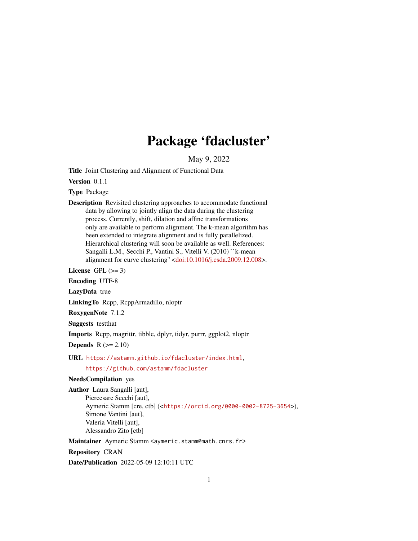## Package 'fdacluster'

May 9, 2022

<span id="page-0-0"></span>Title Joint Clustering and Alignment of Functional Data

Version 0.1.1

Type Package

Description Revisited clustering approaches to accommodate functional data by allowing to jointly align the data during the clustering process. Currently, shift, dilation and affine transformations only are available to perform alignment. The k-mean algorithm has been extended to integrate alignment and is fully parallelized. Hierarchical clustering will soon be available as well. References: Sangalli L.M., Secchi P., Vantini S., Vitelli V. (2010) ``k-mean alignment for curve clustering'' [<doi:10.1016/j.csda.2009.12.008>](https://doi.org/10.1016/j.csda.2009.12.008).

License GPL  $(>= 3)$ 

Encoding UTF-8

LazyData true

LinkingTo Rcpp, RcppArmadillo, nloptr

RoxygenNote 7.1.2

Suggests testthat

Imports Rcpp, magrittr, tibble, dplyr, tidyr, purrr, ggplot2, nloptr

Depends  $R$  ( $>= 2.10$ )

URL <https://astamm.github.io/fdacluster/index.html>,

#### <https://github.com/astamm/fdacluster>

NeedsCompilation yes

Author Laura Sangalli [aut], Piercesare Secchi [aut], Aymeric Stamm [cre, ctb] (<<https://orcid.org/0000-0002-8725-3654>>), Simone Vantini [aut], Valeria Vitelli [aut], Alessandro Zito [ctb]

Maintainer Aymeric Stamm <aymeric.stamm@math.cnrs.fr>

Repository CRAN

Date/Publication 2022-05-09 12:10:11 UTC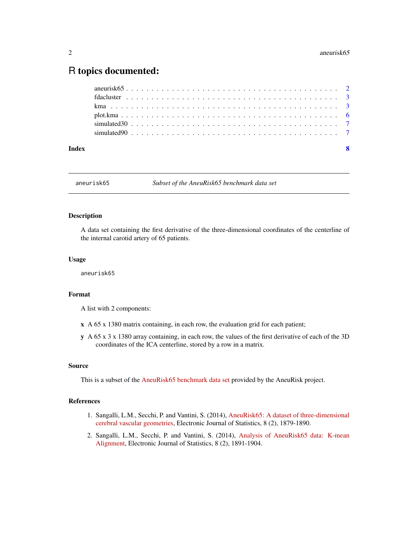### <span id="page-1-0"></span>R topics documented:

| Index |  |  | $\mathbf{\mathbf{R}}$ |
|-------|--|--|-----------------------|
|       |  |  |                       |
|       |  |  |                       |
|       |  |  |                       |
|       |  |  |                       |
|       |  |  |                       |
|       |  |  |                       |

aneurisk65 *Subset of the AneuRisk65 benchmark data set*

#### Description

A data set containing the first derivative of the three-dimensional coordinates of the centerline of the internal carotid artery of 65 patients.

#### Usage

aneurisk65

#### Format

A list with 2 components:

- x A 65 x 1380 matrix containing, in each row, the evaluation grid for each patient;
- y A 65 x 3 x 1380 array containing, in each row, the values of the first derivative of each of the 3D coordinates of the ICA centerline, stored by a row in a matrix.

#### Source

This is a subset of the [AneuRisk65 benchmark data set](https://mox.polimi.it/research-areas/statistics/) provided by the AneuRisk project.

#### References

- 1. Sangalli, L.M., Secchi, P. and Vantini, S. (2014), [AneuRisk65: A dataset of three-dimensional](https://projecteuclid.org/journals/electronic-journal-of-statistics/volume-8/issue-2/AneuRisk65-A-dataset-of-three-dimensional-cerebral-vascular-geometries/10.1214/14-EJS938.full) [cerebral vascular geometries,](https://projecteuclid.org/journals/electronic-journal-of-statistics/volume-8/issue-2/AneuRisk65-A-dataset-of-three-dimensional-cerebral-vascular-geometries/10.1214/14-EJS938.full) Electronic Journal of Statistics, 8 (2), 1879-1890.
- 2. Sangalli, L.M., Secchi, P. and Vantini, S. (2014), [Analysis of AneuRisk65 data: K-mean](https://projecteuclid.org/journals/electronic-journal-of-statistics/volume-8/issue-2/Analysis-of-AneuRisk65-data-k-mean-alignment/10.1214/14-EJS938A.full) [Alignment,](https://projecteuclid.org/journals/electronic-journal-of-statistics/volume-8/issue-2/Analysis-of-AneuRisk65-data-k-mean-alignment/10.1214/14-EJS938A.full) Electronic Journal of Statistics, 8 (2), 1891-1904.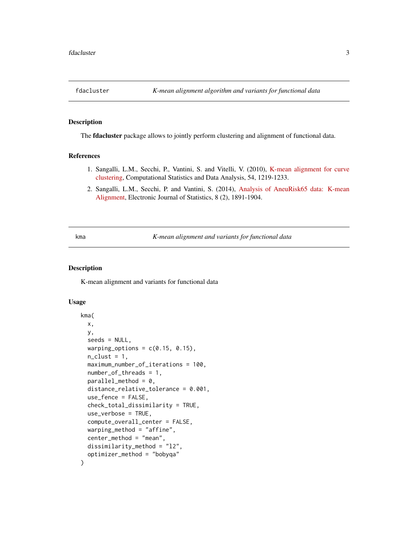<span id="page-2-0"></span>

#### Description

The **fdacluster** package allows to jointly perform clustering and alignment of functional data.

#### References

- 1. Sangalli, L.M., Secchi, P., Vantini, S. and Vitelli, V. (2010), [K-mean alignment for curve](https://www.sciencedirect.com/science/article/abs/pii/S0167947309004605) [clustering,](https://www.sciencedirect.com/science/article/abs/pii/S0167947309004605) Computational Statistics and Data Analysis, 54, 1219-1233.
- 2. Sangalli, L.M., Secchi, P. and Vantini, S. (2014), [Analysis of AneuRisk65 data: K-mean](https://projecteuclid.org/journals/electronic-journal-of-statistics/volume-8/issue-2/Analysis-of-AneuRisk65-data-k-mean-alignment/10.1214/14-EJS938A.full) [Alignment,](https://projecteuclid.org/journals/electronic-journal-of-statistics/volume-8/issue-2/Analysis-of-AneuRisk65-data-k-mean-alignment/10.1214/14-EJS938A.full) Electronic Journal of Statistics, 8 (2), 1891-1904.

<span id="page-2-1"></span>kma *K-mean alignment and variants for functional data*

#### Description

K-mean alignment and variants for functional data

#### Usage

```
kma(
  x,
 y,
  seeds = NULL,
  warping_options = c(0.15, 0.15),
  n<sup>-</sup>clust = 1,
 maximum_number_of_iterations = 100,
  number_of_threads = 1,
 parallel\_method = 0,
  distance_relative_tolerance = 0.001,
  use_fence = FALSE,
  check_total_dissimilarity = TRUE,
  use_verbose = TRUE,
  compute_overall_center = FALSE,
  warping_method = "affine",
  center_method = "mean",
  dissimilarity_method = "l2",
  optimizer_method = "bobyqa"
)
```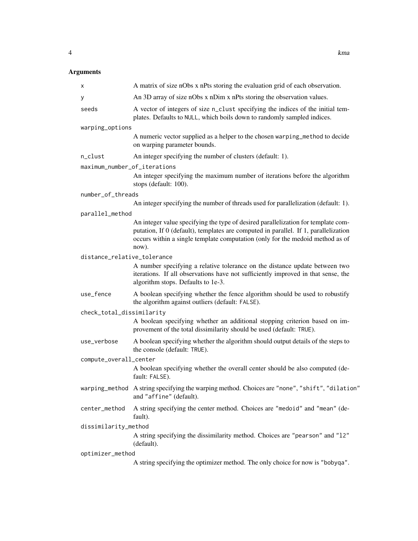#### Arguments

| x                            | A matrix of size nObs x nPts storing the evaluation grid of each observation.                                                                                                                                                                                      |
|------------------------------|--------------------------------------------------------------------------------------------------------------------------------------------------------------------------------------------------------------------------------------------------------------------|
| у                            | An 3D array of size nObs x nDim x nPts storing the observation values.                                                                                                                                                                                             |
| seeds                        | A vector of integers of size n_clust specifying the indices of the initial tem-<br>plates. Defaults to NULL, which boils down to randomly sampled indices.                                                                                                         |
| warping_options              |                                                                                                                                                                                                                                                                    |
|                              | A numeric vector supplied as a helper to the chosen warping_method to decide<br>on warping parameter bounds.                                                                                                                                                       |
| n_clust                      | An integer specifying the number of clusters (default: 1).                                                                                                                                                                                                         |
| maximum_number_of_iterations |                                                                                                                                                                                                                                                                    |
|                              | An integer specifying the maximum number of iterations before the algorithm<br>stops (default: 100).                                                                                                                                                               |
| number_of_threads            |                                                                                                                                                                                                                                                                    |
|                              | An integer specifying the number of threads used for parallelization (default: 1).                                                                                                                                                                                 |
| parallel_method              |                                                                                                                                                                                                                                                                    |
|                              | An integer value specifying the type of desired parallelization for template com-<br>putation, If 0 (default), templates are computed in parallel. If 1, parallelization<br>occurs within a single template computation (only for the medoid method as of<br>now). |
| distance_relative_tolerance  |                                                                                                                                                                                                                                                                    |
|                              | A number specifying a relative tolerance on the distance update between two<br>iterations. If all observations have not sufficiently improved in that sense, the<br>algorithm stops. Defaults to 1e-3.                                                             |
| use_fence                    | A boolean specifying whether the fence algorithm should be used to robustify<br>the algorithm against outliers (default: FALSE).                                                                                                                                   |
| check_total_dissimilarity    |                                                                                                                                                                                                                                                                    |
|                              | A boolean specifying whether an additional stopping criterion based on im-<br>provement of the total dissimilarity should be used (default: TRUE).                                                                                                                 |
| use_verbose                  | A boolean specifying whether the algorithm should output details of the steps to<br>the console (default: TRUE).                                                                                                                                                   |
| compute_overall_center       |                                                                                                                                                                                                                                                                    |
|                              | A boolean specifying whether the overall center should be also computed (de-<br>fault: FALSE).                                                                                                                                                                     |
|                              | warping_method A string specifying the warping method. Choices are "none", "shift", "dilation"<br>and "affine" (default).                                                                                                                                          |
| center_method                | A string specifying the center method. Choices are "medoid" and "mean" (de-<br>fault).                                                                                                                                                                             |
| dissimilarity_method         |                                                                                                                                                                                                                                                                    |
|                              | A string specifying the dissimilarity method. Choices are "pearson" and "12"<br>(default).                                                                                                                                                                         |
| optimizer_method             |                                                                                                                                                                                                                                                                    |
|                              | A string specifying the optimizer method. The only choice for now is "bobyqa".                                                                                                                                                                                     |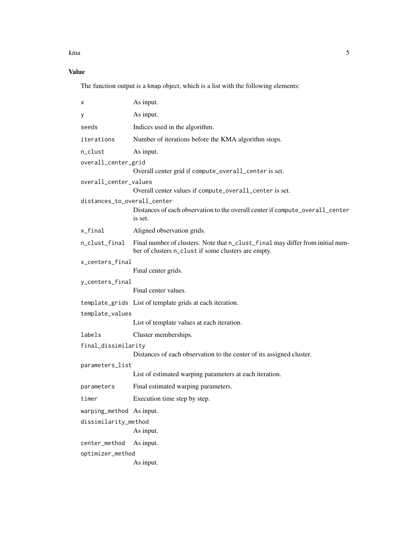kma 5

#### Value

The function output is a kmap object, which is a list with the following elements:

| х                           | As input.                                                                                                                             |  |  |  |  |  |  |
|-----------------------------|---------------------------------------------------------------------------------------------------------------------------------------|--|--|--|--|--|--|
| у                           | As input.                                                                                                                             |  |  |  |  |  |  |
| seeds                       | Indices used in the algorithm.                                                                                                        |  |  |  |  |  |  |
| iterations                  | Number of iterations before the KMA algorithm stops.                                                                                  |  |  |  |  |  |  |
| n_clust                     | As input.                                                                                                                             |  |  |  |  |  |  |
| overall_center_grid         |                                                                                                                                       |  |  |  |  |  |  |
|                             | Overall center grid if compute_overall_center is set.                                                                                 |  |  |  |  |  |  |
| overall_center_values       |                                                                                                                                       |  |  |  |  |  |  |
|                             | Overall center values if compute_overall_center is set.                                                                               |  |  |  |  |  |  |
| distances_to_overall_center | Distances of each observation to the overall center if compute_overall_center<br>is set.                                              |  |  |  |  |  |  |
| x_final                     | Aligned observation grids.                                                                                                            |  |  |  |  |  |  |
| n_clust_final               | Final number of clusters. Note that n_clust_final may differ from initial num-<br>ber of clusters n_clust if some clusters are empty. |  |  |  |  |  |  |
| x_centers_final             |                                                                                                                                       |  |  |  |  |  |  |
|                             | Final center grids.                                                                                                                   |  |  |  |  |  |  |
| y_centers_final             |                                                                                                                                       |  |  |  |  |  |  |
|                             | Final center values.                                                                                                                  |  |  |  |  |  |  |
|                             | template_grids List of template grids at each iteration.                                                                              |  |  |  |  |  |  |
| template_values             |                                                                                                                                       |  |  |  |  |  |  |
|                             | List of template values at each iteration.                                                                                            |  |  |  |  |  |  |
| labels                      | Cluster memberships.                                                                                                                  |  |  |  |  |  |  |
| final_dissimilarity         |                                                                                                                                       |  |  |  |  |  |  |
|                             | Distances of each observation to the center of its assigned cluster.                                                                  |  |  |  |  |  |  |
| parameters_list             |                                                                                                                                       |  |  |  |  |  |  |
|                             | List of estimated warping parameters at each iteration.                                                                               |  |  |  |  |  |  |
| parameters                  | Final estimated warping parameters.                                                                                                   |  |  |  |  |  |  |
| timer                       | Execution time step by step.                                                                                                          |  |  |  |  |  |  |
| warping_method As input.    |                                                                                                                                       |  |  |  |  |  |  |
| dissimilarity_method        |                                                                                                                                       |  |  |  |  |  |  |
|                             | As input.                                                                                                                             |  |  |  |  |  |  |
| center_method               | As input.                                                                                                                             |  |  |  |  |  |  |
|                             | optimizer_method                                                                                                                      |  |  |  |  |  |  |
|                             | As input.                                                                                                                             |  |  |  |  |  |  |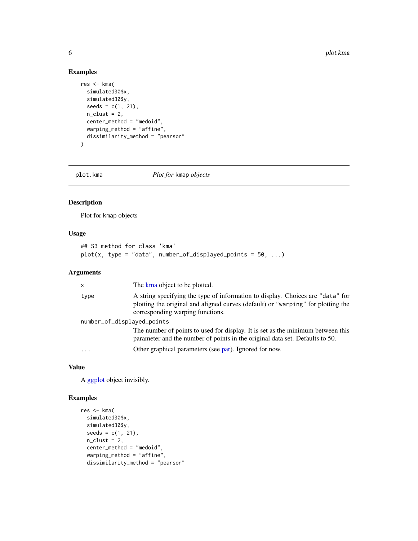#### Examples

```
res <- kma(
  simulated30$x,
  simulated30$y,
  seeds = c(1, 21),n<sup>-clust = 2,</sup>
  center_method = "medoid",
  warping_method = "affine",
  dissimilarity_method = "pearson"
\mathcal{L}
```
plot.kma *Plot for* kmap *objects*

#### Description

Plot for kmap objects

#### Usage

```
## S3 method for class 'kma'
plot(x, type = "data", number_of\_displayed\_points = 50, ...)
```
#### Arguments

| $\mathsf{x}$               | The kma object to be plotted.                                                                                                                                                                          |  |  |  |
|----------------------------|--------------------------------------------------------------------------------------------------------------------------------------------------------------------------------------------------------|--|--|--|
| type                       | A string specifying the type of information to display. Choices are "data" for<br>plotting the original and aligned curves (default) or "warping" for plotting the<br>corresponding warping functions. |  |  |  |
| number_of_displayed_points |                                                                                                                                                                                                        |  |  |  |
|                            | The number of points to used for display. It is set as the minimum between this<br>parameter and the number of points in the original data set. Defaults to 50.                                        |  |  |  |
| $\ddotsc$                  | Other graphical parameters (see par). Ignored for now.                                                                                                                                                 |  |  |  |

#### Value

A [ggplot](#page-0-0) object invisibly.

#### Examples

```
res <- kma(
  simulated30$x,
  simulated30$y,
  seeds = c(1, 21),n<sup>-clust = 2,</sup>
  center_method = "medoid",
  warping_method = "affine",
  dissimilarity_method = "pearson"
```
<span id="page-5-0"></span>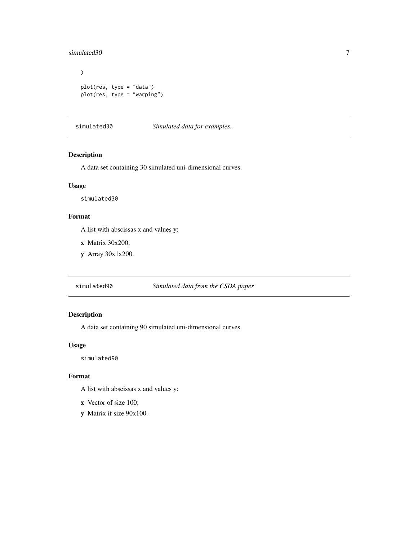#### <span id="page-6-0"></span>simulated30 7

```
\overline{\phantom{a}}plot(res, type = "data")
plot(res, type = "warping")
```
simulated30 *Simulated data for examples.*

#### Description

A data set containing 30 simulated uni-dimensional curves.

#### Usage

simulated30

#### Format

A list with abscissas x and values y:

x Matrix 30x200;

y Array 30x1x200.

simulated90 *Simulated data from the CSDA paper*

#### Description

A data set containing 90 simulated uni-dimensional curves.

#### Usage

simulated90

#### Format

A list with abscissas x and values y:

- x Vector of size 100;
- y Matrix if size 90x100.